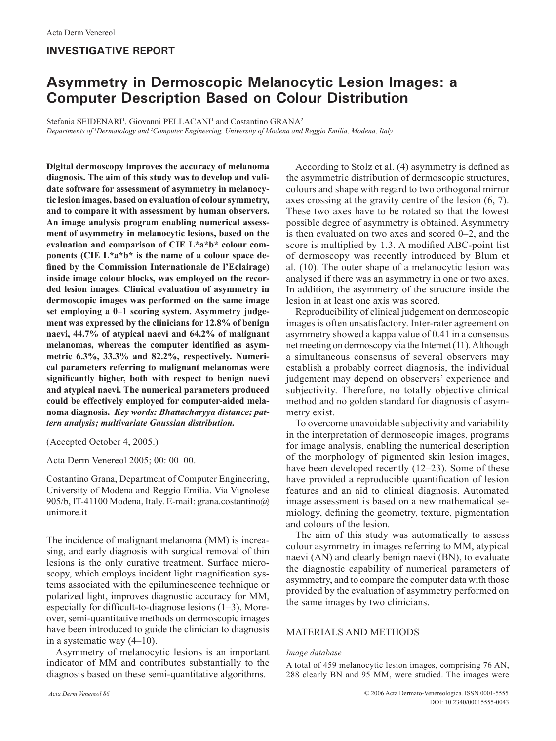# **INVESTIGATIVE REPORT**

# **Asymmetry in Dermoscopic Melanocytic Lesion Images: a Computer Description Based on Colour Distribution**

Stefania SEIDENARI<sup>1</sup>, Giovanni PELLACANI<sup>1</sup> and Costantino GRANA<sup>2</sup>

*Departments of 1 Dermatology and 2 Computer Engineering, University of Modena and Reggio Emilia, Modena, Italy*

**Digital dermoscopy improves the accuracy of melanoma diagnosis. The aim of this study was to develop and validate software for assessment of asymmetry in melanocytic lesion images, based on evaluation of colour symmetry, and to compare it with assessment by human observers. An image analysis program enabling numerical assessment of asymmetry in melanocytic lesions, based on the evaluation and comparison of CIE L\*a\*b\* colour components (CIE L\*a\*b\* is the name of a colour space defined by the Commission Internationale de l'Eclairage) inside image colour blocks, was employed on the recorded lesion images. Clinical evaluation of asymmetry in dermoscopic images was performed on the same image set employing a 0–1 scoring system. Asymmetry judgement was expressed by the clinicians for 12.8% of benign naevi, 44.7% of atypical naevi and 64.2% of malignant melanomas, whereas the computer identified as asymmetric 6.3%, 33.3% and 82.2%, respectively. Numerical parameters referring to malignant melanomas were significantly higher, both with respect to benign naevi and atypical naevi. The numerical parameters produced could be effectively employed for computer-aided melanoma diagnosis.** *Key words: Bhattacharyya distance; pattern analysis; multivariate Gaussian distribution.*

(Accepted October 4, 2005.)

Acta Derm Venereol 2005; 00: 00–00.

Costantino Grana, Department of Computer Engineering, University of Modena and Reggio Emilia, Via Vignolese 905/b, IT-41100 Modena, Italy. E-mail: grana.costantino@ unimore.it

The incidence of malignant melanoma (MM) is increasing, and early diagnosis with surgical removal of thin lesions is the only curative treatment. Surface microscopy, which employs incident light magnification systems associated with the epiluminescence technique or polarized light, improves diagnostic accuracy for MM, especially for difficult-to-diagnose lesions (1–3). Moreover, semi-quantitative methods on dermoscopic images have been introduced to guide the clinician to diagnosis in a systematic way (4–10).

Asymmetry of melanocytic lesions is an important indicator of MM and contributes substantially to the diagnosis based on these semi-quantitative algorithms.

According to Stolz et al. (4) asymmetry is defined as the asymmetric distribution of dermoscopic structures, colours and shape with regard to two orthogonal mirror axes crossing at the gravity centre of the lesion (6, 7). These two axes have to be rotated so that the lowest possible degree of asymmetry is obtained. Asymmetry is then evaluated on two axes and scored 0–2, and the score is multiplied by 1.3. A modified ABC-point list of dermoscopy was recently introduced by Blum et al. (10). The outer shape of a melanocytic lesion was analysed if there was an asymmetry in one or two axes. In addition, the asymmetry of the structure inside the lesion in at least one axis was scored.

Reproducibility of clinical judgement on dermoscopic images is often unsatisfactory. Inter-rater agreement on asymmetry showed a kappa value of 0.41 in a consensus net meeting on dermoscopy via the Internet (11). Although a simultaneous consensus of several observers may establish a probably correct diagnosis, the individual judgement may depend on observers' experience and subjectivity. Therefore, no totally objective clinical method and no golden standard for diagnosis of asymmetry exist.

To overcome unavoidable subjectivity and variability in the interpretation of dermoscopic images, programs for image analysis, enabling the numerical description of the morphology of pigmented skin lesion images, have been developed recently (12–23). Some of these have provided a reproducible quantification of lesion features and an aid to clinical diagnosis. Automated image assessment is based on a new mathematical semiology, defining the geometry, texture, pigmentation and colours of the lesion.

The aim of this study was automatically to assess colour asymmetry in images referring to MM, atypical naevi (AN) and clearly benign naevi (BN), to evaluate the diagnostic capability of numerical parameters of asymmetry, and to compare the computer data with those provided by the evaluation of asymmetry performed on the same images by two clinicians.

# MATERIALS AND METHODS

## *Image database*

A total of 459 melanocytic lesion images, comprising 76 AN, 288 clearly BN and 95 MM, were studied. The images were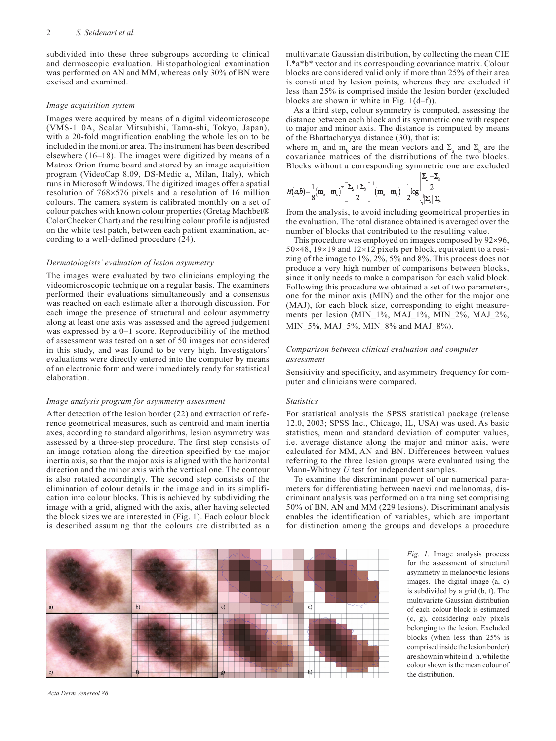subdivided into these three subgroups according to clinical and dermoscopic evaluation. Histopathological examination was performed on AN and MM, whereas only 30% of BN were excised and examined.

#### *Image acquisition system*

Images were acquired by means of a digital videomicroscope (VMS-110A, Scalar Mitsubishi, Tama-shi, Tokyo, Japan), with a 20-fold magnification enabling the whole lesion to be included in the monitor area. The instrument has been described elsewhere (16–18). The images were digitized by means of a Matrox Orion frame board and stored by an image acquisition program (VideoCap 8.09, DS-Medic a, Milan, Italy), which runs in Microsoft Windows. The digitized images offer a spatial resolution of 768×576 pixels and a resolution of 16 million colours. The camera system is calibrated monthly on a set of colour patches with known colour properties (Gretag Machbet® ColorChecker Chart) and the resulting colour profile is adjusted on the white test patch, between each patient examination, according to a well-defined procedure (24).

#### *Dermatologists' evaluation of lesion asymmetry*

The images were evaluated by two clinicians employing the videomicroscopic technique on a regular basis. The examiners performed their evaluations simultaneously and a consensus was reached on each estimate after a thorough discussion. For each image the presence of structural and colour asymmetry along at least one axis was assessed and the agreed judgement was expressed by a 0–1 score. Reproducibility of the method of assessment was tested on a set of 50 images not considered in this study, and was found to be very high. Investigators' evaluations were directly entered into the computer by means of an electronic form and were immediately ready for statistical elaboration.

#### *Image analysis program for asymmetry assessment*

After detection of the lesion border (22) and extraction of reference geometrical measures, such as centroid and main inertia axes, according to standard algorithms, lesion asymmetry was assessed by a three-step procedure. The first step consists of an image rotation along the direction specified by the major inertia axis, so that the major axis is aligned with the horizontal direction and the minor axis with the vertical one. The contour is also rotated accordingly. The second step consists of the elimination of colour details in the image and in its simplification into colour blocks. This is achieved by subdividing the image with a grid, aligned with the axis, after having selected the block sizes we are interested in (Fig. 1). Each colour block is described assuming that the colours are distributed as a

multivariate Gaussian distribution, by collecting the mean CIE L\*a\*b\* vector and its corresponding covariance matrix. Colour blocks are considered valid only if more than 25% of their area is constituted by lesion points, whereas they are excluded if less than 25% is comprised inside the lesion border (excluded blocks are shown in white in Fig. 1(d–f)).

As a third step, colour symmetry is computed, assessing the distance between each block and its symmetric one with respect to major and minor axis. The distance is computed by means of the Bhattacharyya distance (30), that is:

where  $m_a$  and  $m_b$  are the mean vectors and  $\Sigma_a$  and  $\Sigma_b$  are the covariance matrices of the distributions of the two blocks. Blocks without a corresponding symmetric one are excluded<br> $\sum_{i} x_i$ 

$$
B(\alpha b) = \frac{1}{8} (\mathbf{m}_a - \mathbf{m}_b)^T \left[ \frac{\Sigma_a + \Sigma_b}{2} \right]^{-1} (\mathbf{m}_a - \mathbf{m}_b) + \frac{1}{2} \log \frac{\left| \frac{\mathbf{L}_a - \mathbf{L}_b}{2} \right|}{\sqrt{\sum_a ||\Sigma_b|}}
$$

from the analysis, to avoid including geometrical properties in the evaluation. The total distance obtained is averaged over the number of blocks that contributed to the resulting value.

This procedure was employed on images composed by 92×96,  $50\times48$ ,  $19\times19$  and  $12\times12$  pixels per block, equivalent to a resizing of the image to 1%, 2%, 5% and 8%. This process does not produce a very high number of comparisons between blocks, since it only needs to make a comparison for each valid block. Following this procedure we obtained a set of two parameters, one for the minor axis (MIN) and the other for the major one (MAJ), for each block size, corresponding to eight measurements per lesion (MIN  $1\%$ , MAJ $1\%$ , MIN  $2\%$ , MAJ  $2\%$ , MIN\_5%, MAJ\_5%, MIN\_8% and MAJ\_8%).

#### *Comparison between clinical evaluation and computer assessment*

Sensitivity and specificity, and asymmetry frequency for computer and clinicians were compared.

#### *Statistics*

For statistical analysis the SPSS statistical package (release 12.0, 2003; SPSS Inc., Chicago, IL, USA) was used. As basic statistics, mean and standard deviation of computer values, i.e. average distance along the major and minor axis, were calculated for MM, AN and BN. Differences between values referring to the three lesion groups were evaluated using the Mann-Whitney *U* test for independent samples.

To examine the discriminant power of our numerical parameters for differentiating between naevi and melanomas, discriminant analysis was performed on a training set comprising 50% of BN, AN and MM (229 lesions). Discriminant analysis enables the identification of variables, which are important for distinction among the groups and develops a procedure

 $b)$  $d$  $c)$ 

*Fig. 1.* Image analysis process for the assessment of structural asymmetry in melanocytic lesions images. The digital image (a, c) is subdivided by a grid (b, f). The multivariate Gaussian distribution of each colour block is estimated (c, g), considering only pixels belonging to the lesion. Excluded blocks (when less than 25% is comprised inside the lesion border) are shown in white in d–h, while the colour shown is the mean colour of the distribution.

*Acta Derm Venereol 86*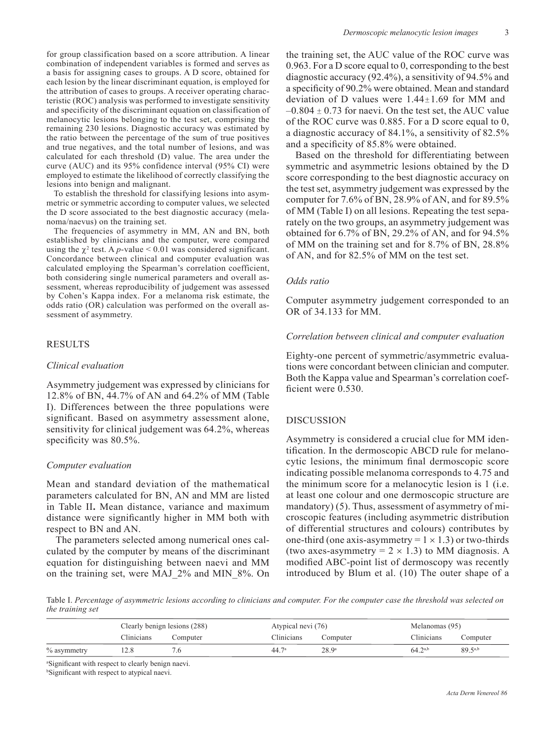for group classification based on a score attribution. A linear combination of independent variables is formed and serves as a basis for assigning cases to groups. A D score, obtained for each lesion by the linear discriminant equation, is employed for the attribution of cases to groups. A receiver operating characteristic (ROC) analysis was performed to investigate sensitivity and specificity of the discriminant equation on classification of melanocytic lesions belonging to the test set, comprising the remaining 230 lesions. Diagnostic accuracy was estimated by the ratio between the percentage of the sum of true positives and true negatives, and the total number of lesions, and was calculated for each threshold (D) value. The area under the curve (AUC) and its 95% confidence interval (95% CI) were employed to estimate the likelihood of correctly classifying the lesions into benign and malignant.

To establish the threshold for classifying lesions into asymmetric or symmetric according to computer values, we selected the D score associated to the best diagnostic accuracy (melanoma/naevus) on the training set.

The frequencies of asymmetry in MM, AN and BN, both established by clinicians and the computer, were compared using the  $\chi^2$  test. A *p*-value < 0.01 was considered significant. Concordance between clinical and computer evaluation was calculated employing the Spearman's correlation coefficient, both considering single numerical parameters and overall assessment, whereas reproducibility of judgement was assessed by Cohen's Kappa index. For a melanoma risk estimate, the odds ratio (OR) calculation was performed on the overall assessment of asymmetry.

## RESULTS

### *Clinical evaluation*

Asymmetry judgement was expressed by clinicians for 12.8% of BN, 44.7% of AN and 64.2% of MM (Table I). Differences between the three populations were significant. Based on asymmetry assessment alone, sensitivity for clinical judgement was 64.2%, whereas specificity was 80.5%.

## *Computer evaluation*

Mean and standard deviation of the mathematical parameters calculated for BN, AN and MM are listed in Table II**.** Mean distance, variance and maximum distance were significantly higher in MM both with respect to BN and AN.

The parameters selected among numerical ones calculated by the computer by means of the discriminant equation for distinguishing between naevi and MM on the training set, were MAJ\_2% and MIN\_8%. On the training set, the AUC value of the ROC curve was 0.963. For a D score equal to 0, corresponding to the best diagnostic accuracy (92.4%), a sensitivity of 94.5% and a specificity of 90.2% were obtained. Mean and standard deviation of D values were 1.44±1.69 for MM and  $-0.804 \pm 0.73$  for naevi. On the test set, the AUC value of the ROC curve was 0.885. For a D score equal to 0, a diagnostic accuracy of 84.1%, a sensitivity of 82.5% and a specificity of 85.8% were obtained.

Based on the threshold for differentiating between symmetric and asymmetric lesions obtained by the D score corresponding to the best diagnostic accuracy on the test set, asymmetry judgement was expressed by the computer for 7.6% of BN, 28.9% of AN, and for 89.5% of MM (Table I) on all lesions. Repeating the test separately on the two groups, an asymmetry judgement was obtained for 6.7% of BN, 29.2% of AN, and for 94.5% of MM on the training set and for 8.7% of BN, 28.8% of AN, and for 82.5% of MM on the test set.

# *Odds ratio*

Computer asymmetry judgement corresponded to an OR of 34.133 for MM.

## *Correlation between clinical and computer evaluation*

Eighty-one percent of symmetric/asymmetric evaluations were concordant between clinician and computer. Both the Kappa value and Spearman's correlation coefficient were 0.530.

## DISCUSSION

Asymmetry is considered a crucial clue for MM identification. In the dermoscopic ABCD rule for melanocytic lesions, the minimum final dermoscopic score indicating possible melanoma corresponds to 4.75 and the minimum score for a melanocytic lesion is 1 (i.e. at least one colour and one dermoscopic structure are mandatory) (5). Thus, assessment of asymmetry of microscopic features (including asymmetric distribution of differential structures and colours) contributes by one-third (one axis-asymmetry =  $1 \times 1.3$ ) or two-thirds (two axes-asymmetry =  $2 \times 1.3$ ) to MM diagnosis. A modified ABC-point list of dermoscopy was recently introduced by Blum et al. (10) The outer shape of a

Table I. *Percentage of asymmetric lesions according to clinicians and computer. For the computer case the threshold was selected on the training set*

|             | Clearly benign lesions (288) |          | Atypical nevi (76) |                   | Melanomas (95) |              |
|-------------|------------------------------|----------|--------------------|-------------------|----------------|--------------|
|             | Clinicians                   | Computer | <b>Clinicians</b>  | Computer          | Clinicians     | Computer     |
| % asymmetry |                              |          | 44.7 <sup>a</sup>  | 28.9 <sup>a</sup> | $64.2^{a,b}$   | $89.5^{a,b}$ |
|             | .                            |          |                    |                   |                |              |

a Significant with respect to clearly benign naevi.

b Significant with respect to atypical naevi.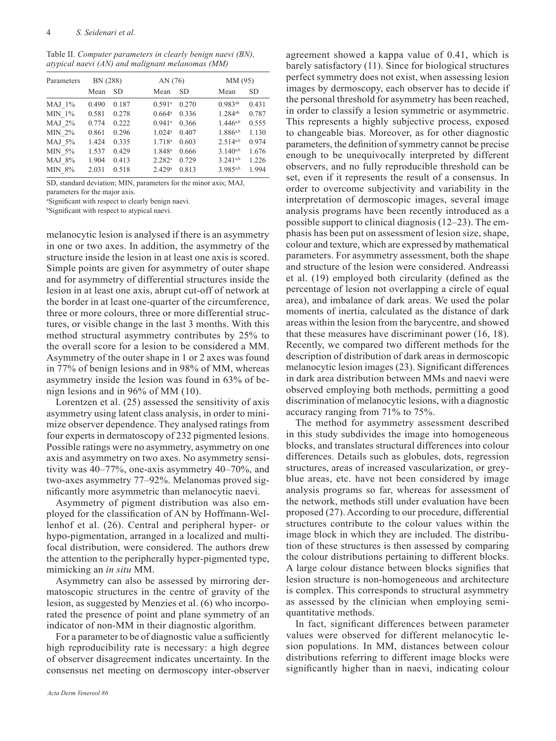Table II. *Computer parameters in clearly benign naevi (BN), atypical naevi (AN) and malignant melanomas (MM)*

| Parameters | BN (288) |       | AN (76)              |           |               | MM (95)   |  |
|------------|----------|-------|----------------------|-----------|---------------|-----------|--|
|            | Mean     | SD    | Mean                 | <b>SD</b> | Mean          | <b>SD</b> |  |
| $MAJ$ 1%   | 0.490    | 0.187 | $0.591$ <sup>a</sup> | 0.270     | $0.983^{ab}$  | 0.431     |  |
| $MIN 1\%$  | 0.581    | 0.278 | $0.664^{\circ}$      | 0.336     | $1.284^{ab}$  | 0.787     |  |
| $MAJ$ 2%   | 0.774    | 0.222 | $0.941$ <sup>a</sup> | 0.366     | $1.446^{a,b}$ | 0.555     |  |
| MIN 2%     | 0.861    | 0.296 | 1.024a               | 0.407     | $1.886^{a,b}$ | 1.130     |  |
| MAJ 5%     | 1.424    | 0.335 | 1.718 <sup>a</sup>   | 0.603     | $2.514^{a,b}$ | 0.974     |  |
| MIN 5%     | 1.537    | 0.429 | 1.848 <sup>a</sup>   | 0.666     | $3.140^{a,b}$ | 1.676     |  |
| MAJ 8%     | 1.904    | 0.413 | $2.282^{a}$          | 0.729     | $3.241^{a,b}$ | 1.226     |  |
| MIN 8%     | 2.031    | 0.518 | 2.429a               | 0.813     | 3.985a,b      | 1.994     |  |

SD, standard deviation; MIN, parameters for the minor axis; MAJ, parameters for the major axis.

a Significant with respect to clearly benign naevi.

b Significant with respect to atypical naevi.

melanocytic lesion is analysed if there is an asymmetry in one or two axes. In addition, the asymmetry of the structure inside the lesion in at least one axis is scored. Simple points are given for asymmetry of outer shape and for asymmetry of differential structures inside the lesion in at least one axis, abrupt cut-off of network at the border in at least one-quarter of the circumference, three or more colours, three or more differential structures, or visible change in the last 3 months. With this method structural asymmetry contributes by 25% to the overall score for a lesion to be considered a MM. Asymmetry of the outer shape in 1 or 2 axes was found in 77% of benign lesions and in 98% of MM, whereas asymmetry inside the lesion was found in 63% of benign lesions and in 96% of MM (10).

Lorentzen et al. (25) assessed the sensitivity of axis asymmetry using latent class analysis, in order to minimize observer dependence. They analysed ratings from four experts in dermatoscopy of 232 pigmented lesions. Possible ratings were no asymmetry, asymmetry on one axis and asymmetry on two axes. No asymmetry sensitivity was 40–77%, one-axis asymmetry 40–70%, and two-axes asymmetry 77–92%. Melanomas proved significantly more asymmetric than melanocytic naevi.

Asymmetry of pigment distribution was also employed for the classification of AN by Hoffmann-Wellenhof et al. (26). Central and peripheral hyper- or hypo-pigmentation, arranged in a localized and multifocal distribution, were considered. The authors drew the attention to the peripherally hyper-pigmented type, mimicking an *in situ* MM.

Asymmetry can also be assessed by mirroring dermatoscopic structures in the centre of gravity of the lesion, as suggested by Menzies et al. (6) who incorporated the presence of point and plane symmetry of an indicator of non-MM in their diagnostic algorithm.

For a parameter to be of diagnostic value a sufficiently high reproducibility rate is necessary: a high degree of observer disagreement indicates uncertainty. In the consensus net meeting on dermoscopy inter-observer

barely satisfactory (11). Since for biological structures perfect symmetry does not exist, when assessing lesion images by dermoscopy, each observer has to decide if the personal threshold for asymmetry has been reached, in order to classify a lesion symmetric or asymmetric. This represents a highly subjective process, exposed to changeable bias. Moreover, as for other diagnostic parameters, the definition of symmetry cannot be precise enough to be unequivocally interpreted by different observers, and no fully reproducible threshold can be set, even if it represents the result of a consensus. In order to overcome subjectivity and variability in the interpretation of dermoscopic images, several image analysis programs have been recently introduced as a possible support to clinical diagnosis (12–23). The emphasis has been put on assessment of lesion size, shape, colour and texture, which are expressed by mathematical parameters. For asymmetry assessment, both the shape and structure of the lesion were considered. Andreassi et al. (19) employed both circularity (defined as the percentage of lesion not overlapping a circle of equal area), and imbalance of dark areas. We used the polar moments of inertia, calculated as the distance of dark areas within the lesion from the barycentre, and showed that these measures have discriminant power (16, 18). Recently, we compared two different methods for the description of distribution of dark areas in dermoscopic melanocytic lesion images (23). Significant differences in dark area distribution between MMs and naevi were observed employing both methods, permitting a good discrimination of melanocytic lesions, with a diagnostic accuracy ranging from 71% to 75%.

agreement showed a kappa value of 0.41, which is

The method for asymmetry assessment described in this study subdivides the image into homogeneous blocks, and translates structural differences into colour differences. Details such as globules, dots, regression structures, areas of increased vascularization, or greyblue areas, etc. have not been considered by image analysis programs so far, whereas for assessment of the network, methods still under evaluation have been proposed (27). According to our procedure, differential structures contribute to the colour values within the image block in which they are included. The distribution of these structures is then assessed by comparing the colour distributions pertaining to different blocks. A large colour distance between blocks signifies that lesion structure is non-homogeneous and architecture is complex. This corresponds to structural asymmetry as assessed by the clinician when employing semiquantitative methods.

In fact, significant differences between parameter values were observed for different melanocytic lesion populations. In MM, distances between colour distributions referring to different image blocks were significantly higher than in naevi, indicating colour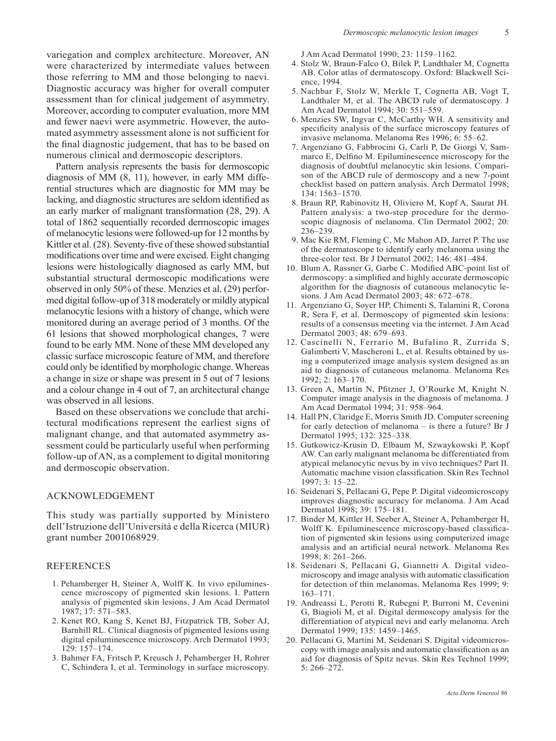variegation and complex architecture. Moreover, AN were characterized by intermediate values between those referring to MM and those belonging to naevi. Diagnostic accuracy was higher for overall computer assessment than for clinical judgement of asymmetry. Moreover, according to computer evaluation, more MM and fewer naevi were asymmetric. However, the automated asymmetry assessment alone is not sufficient for the final diagnostic judgement, that has to be based on numerous clinical and dermoscopic descriptors.

Pattern analysis represents the basis for dermoscopic diagnosis of MM (8, 11), however, in early MM differential structures which are diagnostic for MM may be lacking, and diagnostic structures are seldom identified as an early marker of malignant transformation (28, 29). A total of 1862 sequentially recorded dermoscopic images of melanocytic lesions were followed-up for 12 months by Kittler et al. (28). Seventy-five of these showed substantial modifications over time and were excised. Eight changing lesions were histologically diagnosed as early MM, but substantial structural dermoscopic modifications were observed in only 50% of these. Menzies et al. (29) performed digital follow-up of 318 moderately or mildly atypical melanocytic lesions with a history of change, which were monitored during an average period of 3 months. Of the 61 lesions that showed morphological changes, 7 were found to be early MM. None of these MM developed any classic surface microscopic feature of MM, and therefore could only be identified by morphologic change. Whereas a change in size or shape was present in 5 out of 7 lesions and a colour change in 4 out of 7, an architectural change was observed in all lesions.

Based on these observations we conclude that architectural modifications represent the earliest signs of malignant change, and that automated asymmetry assessment could be particularly useful when performing follow-up of AN, as a complement to digital monitoring and dermoscopic observation.

## ACKNOWLEDGEMENT

This study was partially supported by Ministero dell'Istruzione dell'Università e della Ricerca (MIUR) grant number 2001068929.

## REFERENCES

- 1. Pehamberger H, Steiner A, Wolff K. In vivo epiluminescence microscopy of pigmented skin lesions. I. Pattern analysis of pigmented skin lesions. J Am Acad Dermatol 1987; 17: 571–583.
- 2. Kenet RO, Kang S, Kenet BJ, Fitzpatrick TB, Sober AJ, Barnhill RL. Clinical diagnosis of pigmented lesions using digital epiluminescence microscopy. Arch Dermatol 1993; 129: 157–174.
- 3. Bahmer FA, Fritsch P, Kreusch J, Pehamberger H, Rohrer C, Schindera I, et al. Terminology in surface microscopy.

J Am Acad Dermatol 1990; 23: 1159–1162.

- 4. Stolz W, Braun-Falco O, Bilek P, Landthaler M, Cognetta AB. Color atlas of dermatoscopy. Oxford: Blackwell Science, 1994.
- 5. Nachbar F, Stolz W, Merkle T, Cognetta AB, Vogt T, Landthaler M, et al. The ABCD rule of dermatoscopy. J Am Acad Dermatol 1994; 30: 551–559.
- 6. Menzies SW, Ingvar C, McCarthy WH. A sensitivity and specificity analysis of the surface microscopy features of invasive melanoma. Melanoma Res 1996; 6: 55–62.
- 7. Argenziano G, Fabbrocini G, Carli P, De Giorgi V, Sammarco E, Delfino M. Epiluminescence microscopy for the diagnosis of doubtful melanocytic skin lesions. Comparison of the ABCD rule of dermoscopy and a new 7-point checklist based on pattern analysis. Arch Dermatol 1998; 134: 1563–1570.
- 8. Braun RP, Rabinovitz H, Oliviero M, Kopf A, Saurat JH. Pattern analysis: a two-step procedure for the dermoscopic diagnosis of melanoma. Clin Dermatol 2002; 20: 236–239.
- 9. Mac Kie RM, Fleming C, Mc Mahon AD, Jarret P. The use of the dermatoscope to identify early melanoma using the three-color test. Br J Dermatol 2002; 146: 481–484.
- 10. Blum A, Rassner G, Garbe C. Modified ABC-point list of dermoscopy: a simplified and highly accurate dermoscopic algorithm for the diagnosis of cutaneous melanocytic lesions. J Am Acad Dermatol 2003; 48: 672–678.
- 11. Argenziano G, Soyer HP, Chimenti S, Talamini R, Corona R, Sera F, et al. Dermoscopy of pigmented skin lesions: results of a consensus meeting via the internet. J Am Acad Dermatol 2003; 48: 679–693.
- 12. Cascinelli N, Ferrario M, Bufalino R, Zurrida S, Galimberti V, Mascheroni L, et al. Results obtained by using a computerized image analysis system designed as an aid to diagnosis of cutaneous melanoma. Melanoma Res 1992; 2: 163–170.
- 13. Green A, Martin N, Pfitzner J, O'Rourke M, Knight N. Computer image analysis in the diagnosis of melanoma. J Am Acad Dermatol 1994; 31: 958–964.
- 14. Hall PN, Claridge E, Morris Smith JD. Computer screening for early detection of melanoma – is there a future? Br J Dermatol 1995; 132: 325–338.
- 15. Gutkowicz-Krusin D, Elbaum M, Szwaykowski P, Kopf AW. Can early malignant melanoma be differentiated from atypical melanocytic nevus by in vivo techniques? Part II. Automatic machine vision classification. Skin Res Technol 1997; 3: 15–22.
- 16. Seidenari S, Pellacani G, Pepe P. Digital videomicroscopy improves diagnostic accuracy for melanoma. J Am Acad Dermatol 1998; 39: 175–181.
- 17. Binder M, Kittler H, Seeber A, Steiner A, Pehamberger H, Wolff K. Epiluminescence microscopy-based classification of pigmented skin lesions using computerized image analysis and an artificial neural network. Melanoma Res 1998; 8: 261–266.
- 18. Seidenari S, Pellacani G, Giannetti A. Digital videomicroscopy and image analysis with automatic classification for detection of thin melanomas. Melanoma Res 1999; 9: 163–171.
- 19. Andreassi L, Perotti R, Rubegni P, Burroni M, Cevenini G, Biagioli M, et al. Digital dermoscopy analysis for the differentiation of atypical nevi and early melanoma. Arch Dermatol 1999; 135: 1459–1465.
- 20. Pellacani G, Martini M, Seidenari S. Digital videomicroscopy with image analysis and automatic classification as an aid for diagnosis of Spitz nevus. Skin Res Technol 1999; 5: 266–272.